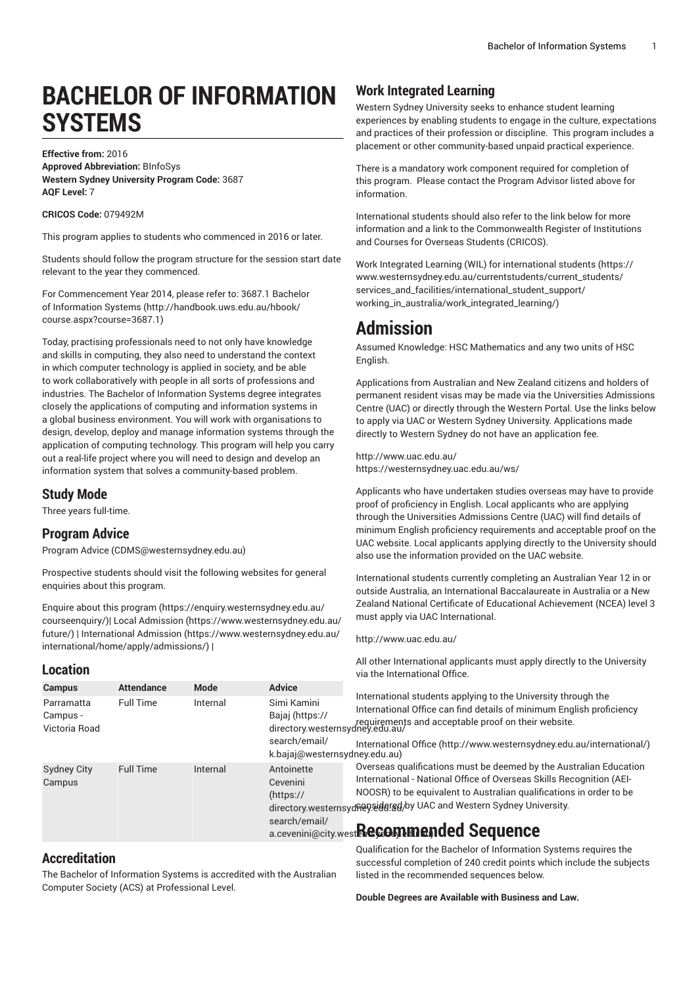# **BACHELOR OF INFORMATION SYSTEMS**

### **Effective from:** 2016 **Approved Abbreviation:** BInfoSys **Western Sydney University Program Code:** 3687 **AQF Level:** 7

### **CRICOS Code:** 079492M

This program applies to students who commenced in 2016 or later.

Students should follow the program structure for the session start date relevant to the year they commenced.

For [Commencement](http://handbook.uws.edu.au/hbook/course.aspx?course=3687.1) Year 2014, please refer to: 3687.1 Bachelor [of Information Systems \(http://handbook.uws.edu.au/hbook/](http://handbook.uws.edu.au/hbook/course.aspx?course=3687.1) [course.aspx?course=3687.1](http://handbook.uws.edu.au/hbook/course.aspx?course=3687.1))

Today, practising professionals need to not only have knowledge and skills in computing, they also need to understand the context in which computer technology is applied in society, and be able to work collaboratively with people in all sorts of professions and industries. The Bachelor of Information Systems degree integrates closely the applications of computing and information systems in a global business environment. You will work with organisations to design, develop, deploy and manage information systems through the application of computing technology. This program will help you carry out a real-life project where you will need to design and develop an information system that solves a community-based problem.

### **Study Mode**

Three years full-time.

### **Program Advice**

[Program](mailto:CDMS@westernsydney.edu.au) Advice (<CDMS@westernsydney.edu.au>)

Prospective students should visit the following websites for general enquiries about this program.

Enquire about this [program \(https://enquiry.westernsydney.edu.au/](https://enquiry.westernsydney.edu.au/courseenquiry/) [courseenquiry/](https://enquiry.westernsydney.edu.au/courseenquiry/))| [Local Admission \(https://www.westernsydney.edu.au/](https://www.westernsydney.edu.au/future/) [future/\)](https://www.westernsydney.edu.au/future/) | [International Admission](https://www.westernsydney.edu.au/international/home/apply/admissions/) ([https://www.westernsydney.edu.au/](https://www.westernsydney.edu.au/international/home/apply/admissions/) [international/home/apply/admissions/](https://www.westernsydney.edu.au/international/home/apply/admissions/)) |

### **Location**

# **Work Integrated Learning**

Western Sydney University seeks to enhance student learning experiences by enabling students to engage in the culture, expectations and practices of their profession or discipline. This program includes a placement or other community-based unpaid practical experience.

There is a mandatory work component required for completion of this program. Please contact the Program Advisor listed above for information.

International students should also refer to the link below for more information and a link to the Commonwealth Register of Institutions and Courses for Overseas Students (CRICOS).

Work Integrated Learning (WIL) for [international](https://www.westernsydney.edu.au/currentstudents/current_students/services_and_facilities/international_student_support/working_in_australia/work_integrated_learning/) students ([https://](https://www.westernsydney.edu.au/currentstudents/current_students/services_and_facilities/international_student_support/working_in_australia/work_integrated_learning/) [www.westernsydney.edu.au/currentstudents/current\\_students/](https://www.westernsydney.edu.au/currentstudents/current_students/services_and_facilities/international_student_support/working_in_australia/work_integrated_learning/) [services\\_and\\_facilities/international\\_student\\_support/](https://www.westernsydney.edu.au/currentstudents/current_students/services_and_facilities/international_student_support/working_in_australia/work_integrated_learning/) [working\\_in\\_australia/work\\_integrated\\_learning/](https://www.westernsydney.edu.au/currentstudents/current_students/services_and_facilities/international_student_support/working_in_australia/work_integrated_learning/))

# **Admission**

Assumed Knowledge: HSC Mathematics and any two units of HSC English.

Applications from Australian and New Zealand citizens and holders of permanent resident visas may be made via the Universities Admissions Centre (UAC) or directly through the Western Portal. Use the links below to apply via UAC or Western Sydney University. Applications made directly to Western Sydney do not have an application fee.

<http://www.uac.edu.au/> <https://westernsydney.uac.edu.au/ws/>

Applicants who have undertaken studies overseas may have to provide proof of proficiency in English. Local applicants who are applying through the Universities Admissions Centre (UAC) will find details of minimum English proficiency requirements and acceptable proof on the UAC website. Local applicants applying directly to the University should also use the information provided on the UAC website.

International students currently completing an Australian Year 12 in or outside Australia, an International Baccalaureate in Australia or a New Zealand National Certificate of Educational Achievement (NCEA) level 3 must apply via UAC International.

#### <http://www.uac.edu.au/>

All other International applicants must apply directly to the University via the International Office.

| <b>Campus</b>                           | <b>Attendance</b> | Mode     | <b>Advice</b>                                                                    |                                                                                                                                                                                                                                                                                                                                                |
|-----------------------------------------|-------------------|----------|----------------------------------------------------------------------------------|------------------------------------------------------------------------------------------------------------------------------------------------------------------------------------------------------------------------------------------------------------------------------------------------------------------------------------------------|
| Parramatta<br>Campus -<br>Victoria Road | <b>Full Time</b>  | Internal | Simi Kamini<br>Bajaj (https://<br>search/email/<br>k.bajaj@westernsydney.edu.au) | International students applying to the University through the<br>International Office can find details of minimum English proficiency<br>requirements and acceptable proof on their website.<br>directory.westernsydney.edu.au/<br>International Office (http://www.westernsydney.edu.au/international/)                                       |
| <b>Sydney City</b><br>Campus            | <b>Full Time</b>  | Internal | Antoinette<br>Cevenini<br>(htps://<br>search/email/                              | Overseas qualifications must be deemed by the Australian Education<br>International - National Office of Overseas Skills Recognition (AEI-<br>NOOSR) to be equivalent to Australian qualifications in order to be<br>directory.westernsydney.sidersd/by UAC and Western Sydney University.<br>a.cevenini@city.west <b>Recommended Sequence</b> |
|                                         |                   |          |                                                                                  |                                                                                                                                                                                                                                                                                                                                                |

# **Accreditation**

The Bachelor of Information Systems is accredited with the Australian Computer Society (ACS) at Professional Level.

Qualification for the Bachelor of Information Systems requires the successful completion of 240 credit points which include the subjects listed in the recommended sequences below.

**Double Degrees are Available with Business and Law.**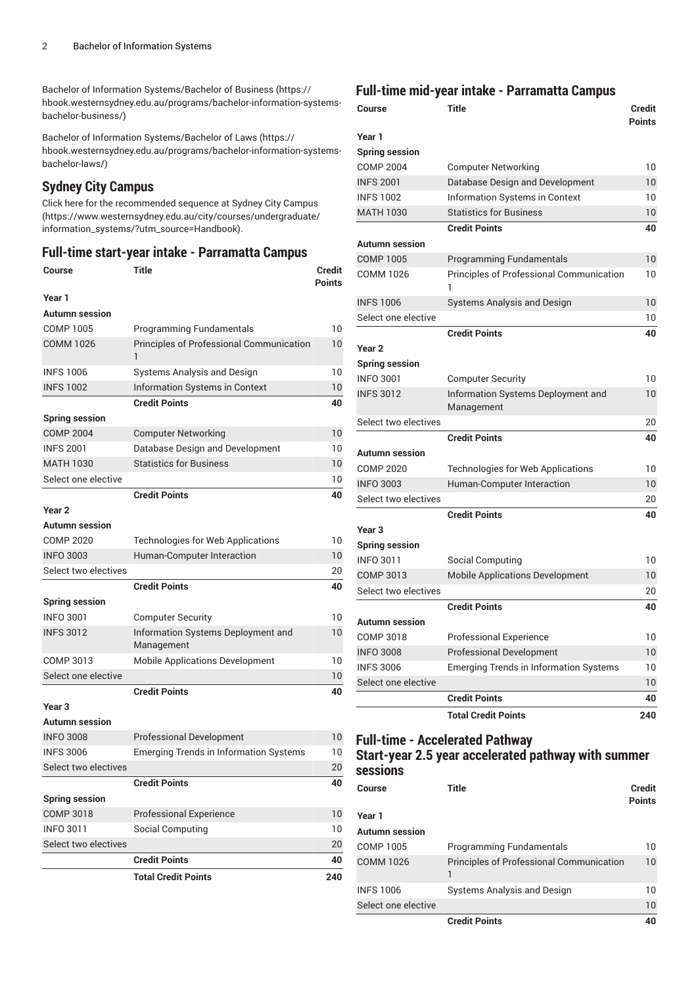[Bachelor of Information Systems/Bachelor of Business \(https://](https://hbook.westernsydney.edu.au/programs/bachelor-information-systems-bachelor-business/) [hbook.westernsydney.edu.au/programs/bachelor-information-systems](https://hbook.westernsydney.edu.au/programs/bachelor-information-systems-bachelor-business/)[bachelor-business/](https://hbook.westernsydney.edu.au/programs/bachelor-information-systems-bachelor-business/))

[Bachelor of Information Systems/Bachelor of Laws \(https://](https://hbook.westernsydney.edu.au/programs/bachelor-information-systems-bachelor-laws/) [hbook.westernsydney.edu.au/programs/bachelor-information-systems](https://hbook.westernsydney.edu.au/programs/bachelor-information-systems-bachelor-laws/)[bachelor-laws/](https://hbook.westernsydney.edu.au/programs/bachelor-information-systems-bachelor-laws/))

# **Sydney City Campus**

Click here for the [recommended](https://www.westernsydney.edu.au/city/courses/undergraduate/information_systems/?utm_source=Handbook) sequence at Sydney City Campus ([https://www.westernsydney.edu.au/city/courses/undergraduate/](https://www.westernsydney.edu.au/city/courses/undergraduate/information_systems/?utm_source=Handbook) [information\\_systems/?utm\\_source=Handbook\)](https://www.westernsydney.edu.au/city/courses/undergraduate/information_systems/?utm_source=Handbook).

### **Full-time start-year intake - Parramatta Campus**

| <b>Course</b>         | <b>Title</b>                                     | Credit<br><b>Points</b> |
|-----------------------|--------------------------------------------------|-------------------------|
| Year 1                |                                                  |                         |
| <b>Autumn</b> session |                                                  |                         |
| <b>COMP 1005</b>      | <b>Programming Fundamentals</b>                  | 10                      |
| <b>COMM 1026</b>      | Principles of Professional Communication<br>1    | 10                      |
| <b>INFS 1006</b>      | Systems Analysis and Design                      | 10                      |
| <b>INFS 1002</b>      | Information Systems in Context                   | 10                      |
|                       | <b>Credit Points</b>                             | 40                      |
| <b>Spring session</b> |                                                  |                         |
| <b>COMP 2004</b>      | <b>Computer Networking</b>                       | 10                      |
| <b>INFS 2001</b>      | Database Design and Development                  | 10                      |
| <b>MATH 1030</b>      | <b>Statistics for Business</b>                   | 10                      |
| Select one elective   |                                                  | 10                      |
|                       | <b>Credit Points</b>                             | 40                      |
| Year 2                |                                                  |                         |
| <b>Autumn</b> session |                                                  |                         |
| <b>COMP 2020</b>      | <b>Technologies for Web Applications</b>         | 10                      |
| <b>INFO 3003</b>      | Human-Computer Interaction                       | 10                      |
| Select two electives  |                                                  | 20                      |
|                       | <b>Credit Points</b>                             | 40                      |
| <b>Spring session</b> |                                                  |                         |
| <b>INFO 3001</b>      | <b>Computer Security</b>                         | 10                      |
| <b>INFS 3012</b>      | Information Systems Deployment and<br>Management | 10                      |
| COMP 3013             | <b>Mobile Applications Development</b>           | 10                      |
| Select one elective   |                                                  | 10                      |
|                       | <b>Credit Points</b>                             | 40                      |
| Year 3                |                                                  |                         |
| <b>Autumn session</b> |                                                  |                         |
| <b>INFO 3008</b>      | <b>Professional Development</b>                  | 10                      |
| <b>INFS 3006</b>      | <b>Emerging Trends in Information Systems</b>    | 10                      |
| Select two electives  |                                                  | 20                      |
|                       | <b>Credit Points</b>                             | 40                      |
| <b>Spring session</b> |                                                  |                         |
| <b>COMP 3018</b>      | <b>Professional Experience</b>                   | 10                      |
| <b>INFO 3011</b>      | Social Computing                                 | 10                      |
| Select two electives  |                                                  | 20                      |
|                       | <b>Credit Points</b>                             | 40                      |
|                       | <b>Total Credit Points</b>                       | 240                     |

# **Full-time mid-year intake - Parramatta Campus**

| Course                | Title                                         | <b>Credit</b><br><b>Points</b> |
|-----------------------|-----------------------------------------------|--------------------------------|
| Year 1                |                                               |                                |
| <b>Spring session</b> |                                               |                                |
| <b>COMP 2004</b>      | <b>Computer Networking</b>                    | 10                             |
| <b>INFS 2001</b>      | Database Design and Development               | 10                             |
| <b>INFS 1002</b>      | <b>Information Systems in Context</b>         | 10                             |
| <b>MATH 1030</b>      | <b>Statistics for Business</b>                | 10                             |
|                       | <b>Credit Points</b>                          | 40                             |
| Autumn session        |                                               |                                |
| <b>COMP 1005</b>      | <b>Programming Fundamentals</b>               | 10                             |
| COMM 1026             | Principles of Professional Communication<br>ı | 10                             |
| <b>INFS 1006</b>      | Systems Analysis and Design                   | 10                             |
| Select one elective   |                                               | 10                             |
|                       | <b>Credit Points</b>                          | 40                             |
| Year 2                |                                               |                                |
| <b>Spring session</b> |                                               |                                |
| <b>INFO 3001</b>      | Computer Security                             | 10                             |
| <b>INFS 3012</b>      | Information Systems Deployment and            | 10                             |
|                       | Management                                    |                                |
| Select two electives  |                                               | 20                             |
|                       | <b>Credit Points</b>                          | 40                             |
| Autumn session        |                                               |                                |
| <b>COMP 2020</b>      | <b>Technologies for Web Applications</b>      | 10                             |
| <b>INFO 3003</b>      | Human-Computer Interaction                    | 10                             |
| Select two electives  |                                               | 20                             |
|                       | <b>Credit Points</b>                          | 40                             |
| Year <sub>3</sub>     |                                               |                                |
| <b>Spring session</b> |                                               |                                |
| <b>INFO 3011</b>      | Social Computing                              | 10                             |
| <b>COMP 3013</b>      | <b>Mobile Applications Development</b>        | 10                             |
| Select two electives  |                                               | 20                             |
|                       | <b>Credit Points</b>                          | 40                             |
| Autumn session        |                                               |                                |
| <b>COMP 3018</b>      | <b>Professional Experience</b>                | 10                             |
| <b>INFO 3008</b>      | <b>Professional Development</b>               | 10                             |
| <b>INFS 3006</b>      | <b>Emerging Trends in Information Systems</b> | 10                             |
| Select one elective   |                                               | 10                             |
|                       | <b>Credit Points</b>                          | 40                             |
|                       | <b>Total Credit Points</b>                    | 240                            |

# **Full-time - Accelerated Pathway**

# **Start-year 2.5 year accelerated pathway with summer sessions**

| Course              | Title                                           | <b>Credit</b><br><b>Points</b> |
|---------------------|-------------------------------------------------|--------------------------------|
| Year 1              |                                                 |                                |
| Autumn session      |                                                 |                                |
| COMP 1005           | Programming Fundamentals                        | $10^{\circ}$                   |
| <b>COMM 1026</b>    | <b>Principles of Professional Communication</b> | 10                             |
| <b>INFS 1006</b>    | Systems Analysis and Design                     | $10^{\circ}$                   |
| Select one elective |                                                 | 10                             |
|                     | <b>Credit Points</b>                            | 40                             |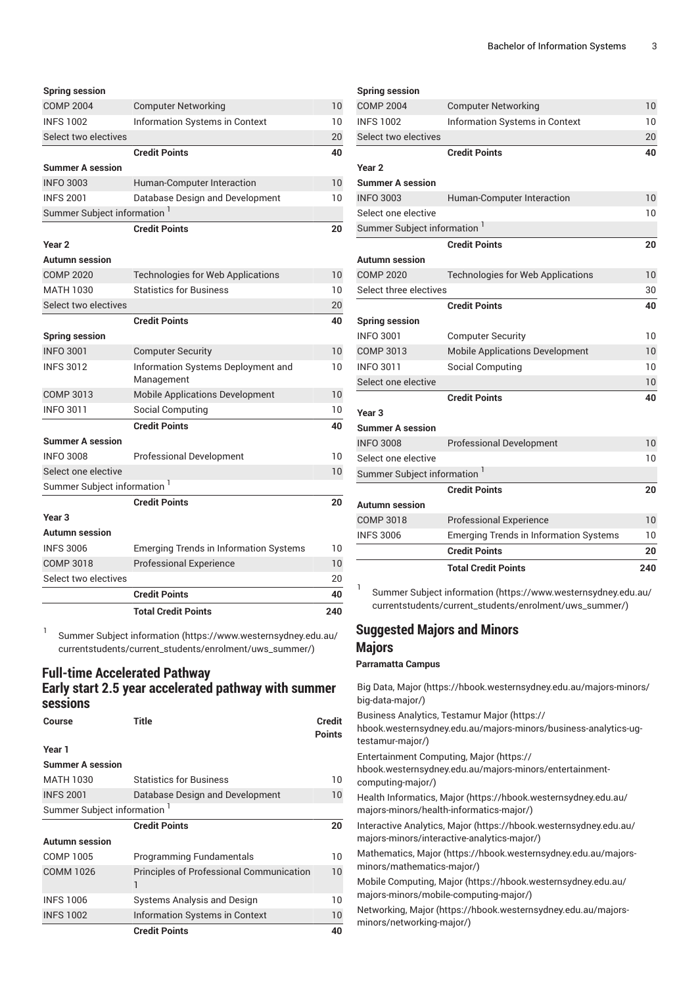|                                         | <b>Total Credit Points</b>                                   | 240      |
|-----------------------------------------|--------------------------------------------------------------|----------|
|                                         | <b>Credit Points</b>                                         | 40       |
| Select two electives                    |                                                              | 20       |
| <b>COMP 3018</b>                        | <b>Professional Experience</b>                               | 10       |
| <b>INFS 3006</b>                        | <b>Emerging Trends in Information Systems</b>                | 10       |
| <b>Autumn session</b>                   |                                                              |          |
| Year <sub>3</sub>                       |                                                              |          |
|                                         | <b>Credit Points</b>                                         | 20       |
| Summer Subject information <sup>1</sup> |                                                              |          |
| Select one elective                     |                                                              | 10       |
| <b>INFO 3008</b>                        | <b>Professional Development</b>                              | 10       |
| <b>Summer A session</b>                 |                                                              |          |
|                                         | <b>Credit Points</b>                                         | 40       |
| <b>INFO 3011</b>                        | Social Computing                                             | 10       |
| <b>COMP 3013</b>                        | <b>Mobile Applications Development</b>                       | 10       |
| <b>INFS 3012</b>                        | Information Systems Deployment and<br>Management             | 10       |
| <b>INFO 3001</b>                        | <b>Computer Security</b>                                     | 10       |
| <b>Spring session</b>                   |                                                              |          |
|                                         | <b>Credit Points</b>                                         | 40       |
| Select two electives                    |                                                              | 20       |
| MATH 1030                               | <b>Statistics for Business</b>                               | 10       |
| <b>COMP 2020</b>                        | <b>Technologies for Web Applications</b>                     | 10       |
| <b>Autumn session</b>                   |                                                              |          |
| Year 2                                  |                                                              |          |
|                                         | <b>Credit Points</b>                                         | 20       |
| Summer Subject information              |                                                              |          |
| <b>INFS 2001</b>                        | Database Design and Development                              | 10       |
| <b>INFO 3003</b>                        | Human-Computer Interaction                                   | 10       |
| <b>Summer A session</b>                 |                                                              |          |
|                                         | <b>Credit Points</b>                                         | 40       |
| Select two electives                    |                                                              | 20       |
| <b>INFS 1002</b>                        | <b>Computer Networking</b><br>Information Systems in Context | 10<br>10 |
| <b>COMP 2004</b>                        |                                                              |          |

**Spring session**

1 [Summer Subject information \(https://www.westernsydney.edu.au/](https://www.westernsydney.edu.au/currentstudents/current_students/enrolment/uws_summer/) [currentstudents/current\\_students/enrolment/uws\\_summer/](https://www.westernsydney.edu.au/currentstudents/current_students/enrolment/uws_summer/))

# **Full-time Accelerated Pathway Early start 2.5 year accelerated pathway with summer sessions**

| Course                                  | <b>Title</b>                                         | <b>Credit</b><br><b>Points</b> |
|-----------------------------------------|------------------------------------------------------|--------------------------------|
| Year 1                                  |                                                      |                                |
| <b>Summer A session</b>                 |                                                      |                                |
| <b>MATH 1030</b>                        | <b>Statistics for Business</b>                       | 10                             |
| <b>INFS 2001</b>                        | Database Design and Development                      | 10 <sup>°</sup>                |
| Summer Subject information <sup>1</sup> |                                                      |                                |
|                                         | <b>Credit Points</b>                                 | 20                             |
| <b>Autumn</b> session                   |                                                      |                                |
| <b>COMP 1005</b>                        | <b>Programming Fundamentals</b>                      | 10                             |
| <b>COMM 1026</b>                        | <b>Principles of Professional Communication</b><br>1 | 10 <sup>°</sup>                |
| <b>INFS 1006</b>                        | Systems Analysis and Design                          | 10                             |
| <b>INFS 1002</b>                        | <b>Information Systems in Context</b>                | 10                             |
|                                         | <b>Credit Points</b>                                 | 40                             |

# **Spring session**

| Select two electives<br><b>Credit Points</b><br>Year <sub>2</sub><br>Summer A session<br><b>INFO 3003</b><br>Human-Computer Interaction<br>Select one elective<br>Summer Subject information <sup>1</sup><br><b>Credit Points</b><br>Autumn session<br><b>COMP 2020</b><br><b>Technologies for Web Applications</b><br>Select three electives<br><b>Credit Points</b><br><b>Spring session</b><br><b>INFO 3001</b><br><b>Computer Security</b><br><b>COMP 3013</b><br><b>Mobile Applications Development</b><br><b>INFO 3011</b><br>Social Computing<br>Select one elective<br><b>Credit Points</b><br>Year <sub>3</sub><br><b>Summer A session</b><br><b>INFO 3008</b><br><b>Professional Development</b><br>Select one elective<br>Summer Subject information <sup>1</sup><br><b>Credit Points</b><br>Autumn session<br>COMP 3018<br><b>Professional Experience</b><br><b>INFS 3006</b><br><b>Emerging Trends in Information Systems</b><br><b>Credit Points</b> | 20              |
|--------------------------------------------------------------------------------------------------------------------------------------------------------------------------------------------------------------------------------------------------------------------------------------------------------------------------------------------------------------------------------------------------------------------------------------------------------------------------------------------------------------------------------------------------------------------------------------------------------------------------------------------------------------------------------------------------------------------------------------------------------------------------------------------------------------------------------------------------------------------------------------------------------------------------------------------------------------------|-----------------|
|                                                                                                                                                                                                                                                                                                                                                                                                                                                                                                                                                                                                                                                                                                                                                                                                                                                                                                                                                                    |                 |
|                                                                                                                                                                                                                                                                                                                                                                                                                                                                                                                                                                                                                                                                                                                                                                                                                                                                                                                                                                    | 10              |
|                                                                                                                                                                                                                                                                                                                                                                                                                                                                                                                                                                                                                                                                                                                                                                                                                                                                                                                                                                    | 10              |
|                                                                                                                                                                                                                                                                                                                                                                                                                                                                                                                                                                                                                                                                                                                                                                                                                                                                                                                                                                    |                 |
|                                                                                                                                                                                                                                                                                                                                                                                                                                                                                                                                                                                                                                                                                                                                                                                                                                                                                                                                                                    | 20              |
|                                                                                                                                                                                                                                                                                                                                                                                                                                                                                                                                                                                                                                                                                                                                                                                                                                                                                                                                                                    |                 |
|                                                                                                                                                                                                                                                                                                                                                                                                                                                                                                                                                                                                                                                                                                                                                                                                                                                                                                                                                                    | 10              |
|                                                                                                                                                                                                                                                                                                                                                                                                                                                                                                                                                                                                                                                                                                                                                                                                                                                                                                                                                                    | 10              |
|                                                                                                                                                                                                                                                                                                                                                                                                                                                                                                                                                                                                                                                                                                                                                                                                                                                                                                                                                                    |                 |
|                                                                                                                                                                                                                                                                                                                                                                                                                                                                                                                                                                                                                                                                                                                                                                                                                                                                                                                                                                    |                 |
|                                                                                                                                                                                                                                                                                                                                                                                                                                                                                                                                                                                                                                                                                                                                                                                                                                                                                                                                                                    | 40              |
|                                                                                                                                                                                                                                                                                                                                                                                                                                                                                                                                                                                                                                                                                                                                                                                                                                                                                                                                                                    | 10              |
|                                                                                                                                                                                                                                                                                                                                                                                                                                                                                                                                                                                                                                                                                                                                                                                                                                                                                                                                                                    | 10<br>10        |
|                                                                                                                                                                                                                                                                                                                                                                                                                                                                                                                                                                                                                                                                                                                                                                                                                                                                                                                                                                    | 10              |
|                                                                                                                                                                                                                                                                                                                                                                                                                                                                                                                                                                                                                                                                                                                                                                                                                                                                                                                                                                    |                 |
|                                                                                                                                                                                                                                                                                                                                                                                                                                                                                                                                                                                                                                                                                                                                                                                                                                                                                                                                                                    | 40              |
|                                                                                                                                                                                                                                                                                                                                                                                                                                                                                                                                                                                                                                                                                                                                                                                                                                                                                                                                                                    | 30              |
|                                                                                                                                                                                                                                                                                                                                                                                                                                                                                                                                                                                                                                                                                                                                                                                                                                                                                                                                                                    | 10              |
|                                                                                                                                                                                                                                                                                                                                                                                                                                                                                                                                                                                                                                                                                                                                                                                                                                                                                                                                                                    |                 |
|                                                                                                                                                                                                                                                                                                                                                                                                                                                                                                                                                                                                                                                                                                                                                                                                                                                                                                                                                                    | 20              |
|                                                                                                                                                                                                                                                                                                                                                                                                                                                                                                                                                                                                                                                                                                                                                                                                                                                                                                                                                                    |                 |
|                                                                                                                                                                                                                                                                                                                                                                                                                                                                                                                                                                                                                                                                                                                                                                                                                                                                                                                                                                    | 10              |
|                                                                                                                                                                                                                                                                                                                                                                                                                                                                                                                                                                                                                                                                                                                                                                                                                                                                                                                                                                    | 10              |
|                                                                                                                                                                                                                                                                                                                                                                                                                                                                                                                                                                                                                                                                                                                                                                                                                                                                                                                                                                    |                 |
|                                                                                                                                                                                                                                                                                                                                                                                                                                                                                                                                                                                                                                                                                                                                                                                                                                                                                                                                                                    |                 |
|                                                                                                                                                                                                                                                                                                                                                                                                                                                                                                                                                                                                                                                                                                                                                                                                                                                                                                                                                                    | 40              |
|                                                                                                                                                                                                                                                                                                                                                                                                                                                                                                                                                                                                                                                                                                                                                                                                                                                                                                                                                                    | 20              |
| <b>INFS 1002</b><br>Information Systems in Context                                                                                                                                                                                                                                                                                                                                                                                                                                                                                                                                                                                                                                                                                                                                                                                                                                                                                                                 | 10 <sup>1</sup> |
| <b>COMP 2004</b><br><b>Computer Networking</b>                                                                                                                                                                                                                                                                                                                                                                                                                                                                                                                                                                                                                                                                                                                                                                                                                                                                                                                     | 10              |

[Summer Subject information \(https://www.westernsydney.edu.au/](https://www.westernsydney.edu.au/currentstudents/current_students/enrolment/uws_summer/) [currentstudents/current\\_students/enrolment/uws\\_summer/](https://www.westernsydney.edu.au/currentstudents/current_students/enrolment/uws_summer/))

# **Suggested Majors and Minors Majors**

### **Parramatta Campus**

[Big Data, Major](https://hbook.westernsydney.edu.au/majors-minors/big-data-major/) ([https://hbook.westernsydney.edu.au/majors-minors/](https://hbook.westernsydney.edu.au/majors-minors/big-data-major/) [big-data-major/\)](https://hbook.westernsydney.edu.au/majors-minors/big-data-major/)

Business [Analytics,](https://hbook.westernsydney.edu.au/majors-minors/business-analytics-ug-testamur-major/) Testamur Major ([https://](https://hbook.westernsydney.edu.au/majors-minors/business-analytics-ug-testamur-major/)

[hbook.westernsydney.edu.au/majors-minors/business-analytics-ug](https://hbook.westernsydney.edu.au/majors-minors/business-analytics-ug-testamur-major/)[testamur-major/](https://hbook.westernsydney.edu.au/majors-minors/business-analytics-ug-testamur-major/))

[Entertainment](https://hbook.westernsydney.edu.au/majors-minors/entertainment-computing-major/) Computing, Major ([https://](https://hbook.westernsydney.edu.au/majors-minors/entertainment-computing-major/)

[hbook.westernsydney.edu.au/majors-minors/entertainment](https://hbook.westernsydney.edu.au/majors-minors/entertainment-computing-major/)[computing-major/](https://hbook.westernsydney.edu.au/majors-minors/entertainment-computing-major/))

[Health Informatics, Major \(https://hbook.westernsydney.edu.au/](https://hbook.westernsydney.edu.au/majors-minors/health-informatics-major/) [majors-minors/health-informatics-major/\)](https://hbook.westernsydney.edu.au/majors-minors/health-informatics-major/)

[Interactive](https://hbook.westernsydney.edu.au/majors-minors/interactive-analytics-major/) Analytics, Major ([https://hbook.westernsydney.edu.au/](https://hbook.westernsydney.edu.au/majors-minors/interactive-analytics-major/) [majors-minors/interactive-analytics-major/](https://hbook.westernsydney.edu.au/majors-minors/interactive-analytics-major/))

[Mathematics, Major](https://hbook.westernsydney.edu.au/majors-minors/mathematics-major/) ([https://hbook.westernsydney.edu.au/majors](https://hbook.westernsydney.edu.au/majors-minors/mathematics-major/)[minors/mathematics-major/](https://hbook.westernsydney.edu.au/majors-minors/mathematics-major/))

[Mobile Computing, Major](https://hbook.westernsydney.edu.au/majors-minors/mobile-computing-major/) [\(https://hbook.westernsydney.edu.au/](https://hbook.westernsydney.edu.au/majors-minors/mobile-computing-major/) [majors-minors/mobile-computing-major/](https://hbook.westernsydney.edu.au/majors-minors/mobile-computing-major/))

[Networking, Major \(https://hbook.westernsydney.edu.au/majors](https://hbook.westernsydney.edu.au/majors-minors/networking-major/)[minors/networking-major/\)](https://hbook.westernsydney.edu.au/majors-minors/networking-major/)